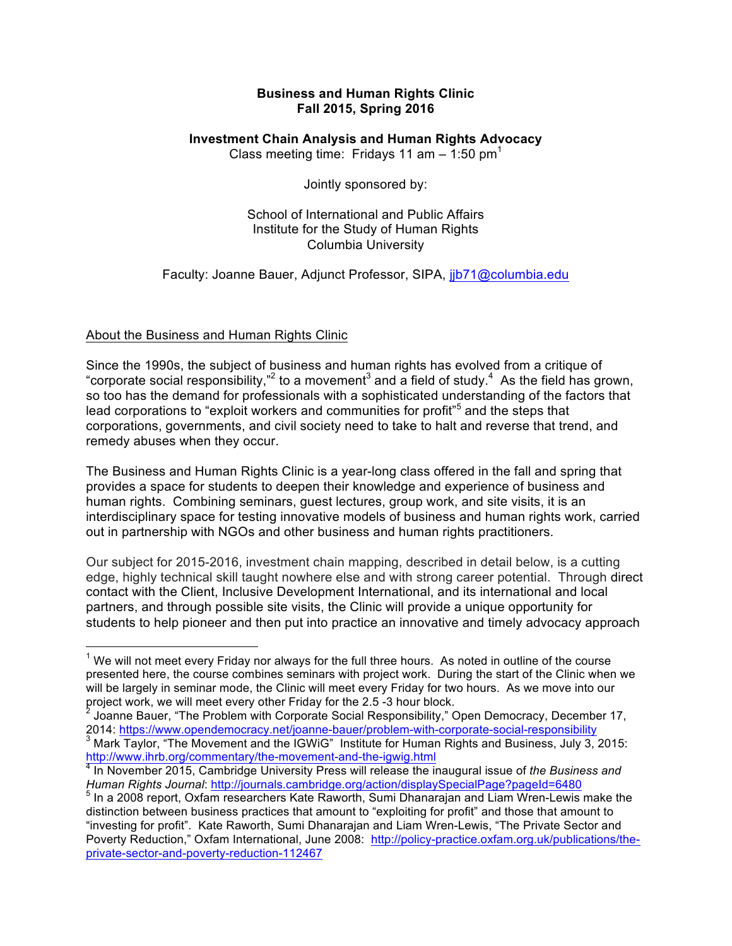## **Business and Human Rights Clinic Fall 2015, Spring 2016**

## **Investment Chain Analysis and Human Rights Advocacy**

Class meeting time: Fridays 11 am  $-$  1:50 pm<sup>1</sup>

Jointly sponsored by:

School of International and Public Affairs Institute for the Study of Human Rights Columbia University

Faculty: Joanne Bauer, Adjunct Professor, SIPA, jjb71@columbia.edu

## About the Business and Human Rights Clinic

Since the 1990s, the subject of business and human rights has evolved from a critique of "corporate social responsibility,"<sup>2</sup> to a movement<sup>3</sup> and a field of study.<sup>4</sup> As the field has grown, so too has the demand for professionals with a sophisticated understanding of the factors that lead corporations to "exploit workers and communities for profit"<sup>5</sup> and the steps that corporations, governments, and civil society need to take to halt and reverse that trend, and remedy abuses when they occur.

The Business and Human Rights Clinic is a year-long class offered in the fall and spring that provides a space for students to deepen their knowledge and experience of business and human rights. Combining seminars, guest lectures, group work, and site visits, it is an interdisciplinary space for testing innovative models of business and human rights work, carried out in partnership with NGOs and other business and human rights practitioners.

Our subject for 2015-2016, investment chain mapping, described in detail below, is a cutting edge, highly technical skill taught nowhere else and with strong career potential. Through direct contact with the Client, Inclusive Development International, and its international and local partners, and through possible site visits, the Clinic will provide a unique opportunity for students to help pioneer and then put into practice an innovative and timely advocacy approach

 $<sup>1</sup>$  We will not meet every Friday nor always for the full three hours. As noted in outline of the course</sup> presented here, the course combines seminars with project work. During the start of the Clinic when we will be largely in seminar mode, the Clinic will meet every Friday for two hours. As we move into our project work, we will meet every other Friday for the 2.5 -3 hour block.

<sup>&</sup>lt;sup>2</sup> Joanne Bauer, "The Problem with Corporate Social Responsibility," Open Democracy, December 17,<br>2014: https://www.opendemocracy.net/joanne-bauer/problem-with-corporate-social-responsibility <sup>3</sup> Mark Taylor, "The Movement and the IGWiG" Institute for Human Rights and Business, July 3, 2015:<br>http://www.ihrb.org/commentary/the-movement-and-the-igwig.html<br> $\frac{4}{3}$  In Movember 2015:

<sup>&</sup>lt;sup>4</sup> In November 2015, Cambridge University Press will release the inaugural issue of *the Business and*<br>Human Rights Journal: http://journals.cambridge.org/action/displaySpecialPage?pageId=6480

<sup>&</sup>lt;sup>5</sup> In a 2008 report, Oxfam researchers Kate Raworth, Sumi Dhanarajan and Liam Wren-Lewis make the distinction between business practices that amount to "exploiting for profit" and those that amount to "investing for profit". Kate Raworth, Sumi Dhanarajan and Liam Wren-Lewis, "The Private Sector and Poverty Reduction," Oxfam International, June 2008: http://policy-practice.oxfam.org.uk/publications/theprivate-sector-and-poverty-reduction-112467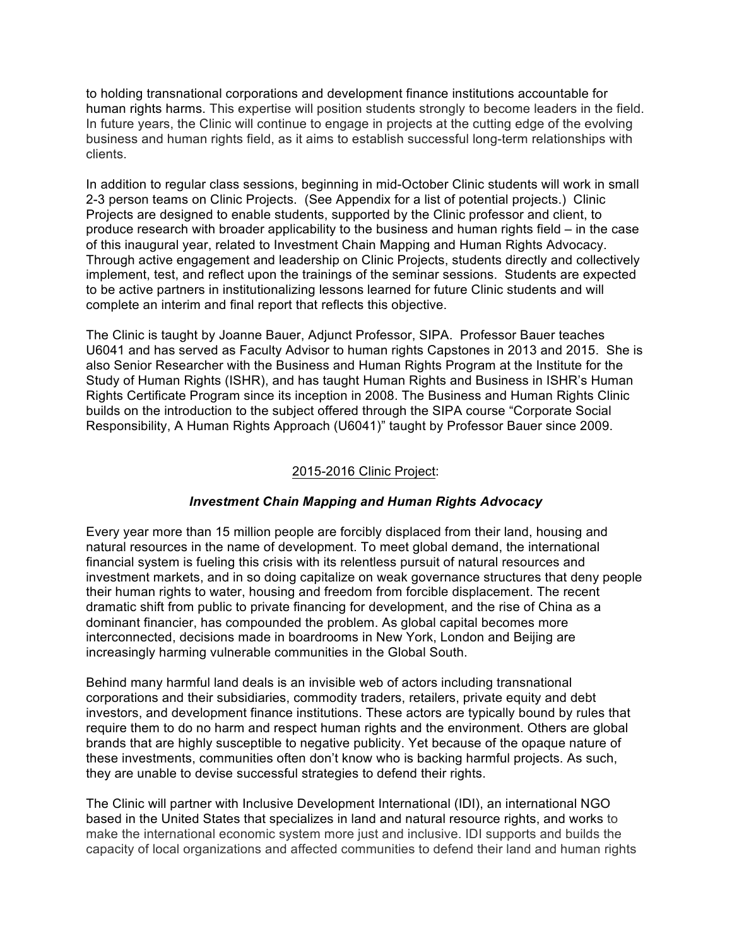to holding transnational corporations and development finance institutions accountable for human rights harms. This expertise will position students strongly to become leaders in the field. In future years, the Clinic will continue to engage in projects at the cutting edge of the evolving business and human rights field, as it aims to establish successful long-term relationships with clients.

In addition to regular class sessions, beginning in mid-October Clinic students will work in small 2-3 person teams on Clinic Projects. (See Appendix for a list of potential projects.) Clinic Projects are designed to enable students, supported by the Clinic professor and client, to produce research with broader applicability to the business and human rights field – in the case of this inaugural year, related to Investment Chain Mapping and Human Rights Advocacy. Through active engagement and leadership on Clinic Projects, students directly and collectively implement, test, and reflect upon the trainings of the seminar sessions. Students are expected to be active partners in institutionalizing lessons learned for future Clinic students and will complete an interim and final report that reflects this objective.

The Clinic is taught by Joanne Bauer, Adjunct Professor, SIPA. Professor Bauer teaches U6041 and has served as Faculty Advisor to human rights Capstones in 2013 and 2015. She is also Senior Researcher with the Business and Human Rights Program at the Institute for the Study of Human Rights (ISHR), and has taught Human Rights and Business in ISHR's Human Rights Certificate Program since its inception in 2008. The Business and Human Rights Clinic builds on the introduction to the subject offered through the SIPA course "Corporate Social Responsibility, A Human Rights Approach (U6041)" taught by Professor Bauer since 2009.

### 2015-2016 Clinic Project:

## *Investment Chain Mapping and Human Rights Advocacy*

Every year more than 15 million people are forcibly displaced from their land, housing and natural resources in the name of development. To meet global demand, the international financial system is fueling this crisis with its relentless pursuit of natural resources and investment markets, and in so doing capitalize on weak governance structures that deny people their human rights to water, housing and freedom from forcible displacement. The recent dramatic shift from public to private financing for development, and the rise of China as a dominant financier, has compounded the problem. As global capital becomes more interconnected, decisions made in boardrooms in New York, London and Beijing are increasingly harming vulnerable communities in the Global South.

Behind many harmful land deals is an invisible web of actors including transnational corporations and their subsidiaries, commodity traders, retailers, private equity and debt investors, and development finance institutions. These actors are typically bound by rules that require them to do no harm and respect human rights and the environment. Others are global brands that are highly susceptible to negative publicity. Yet because of the opaque nature of these investments, communities often don't know who is backing harmful projects. As such, they are unable to devise successful strategies to defend their rights.

The Clinic will partner with Inclusive Development International (IDI), an international NGO based in the United States that specializes in land and natural resource rights, and works to make the international economic system more just and inclusive. IDI supports and builds the capacity of local organizations and affected communities to defend their land and human rights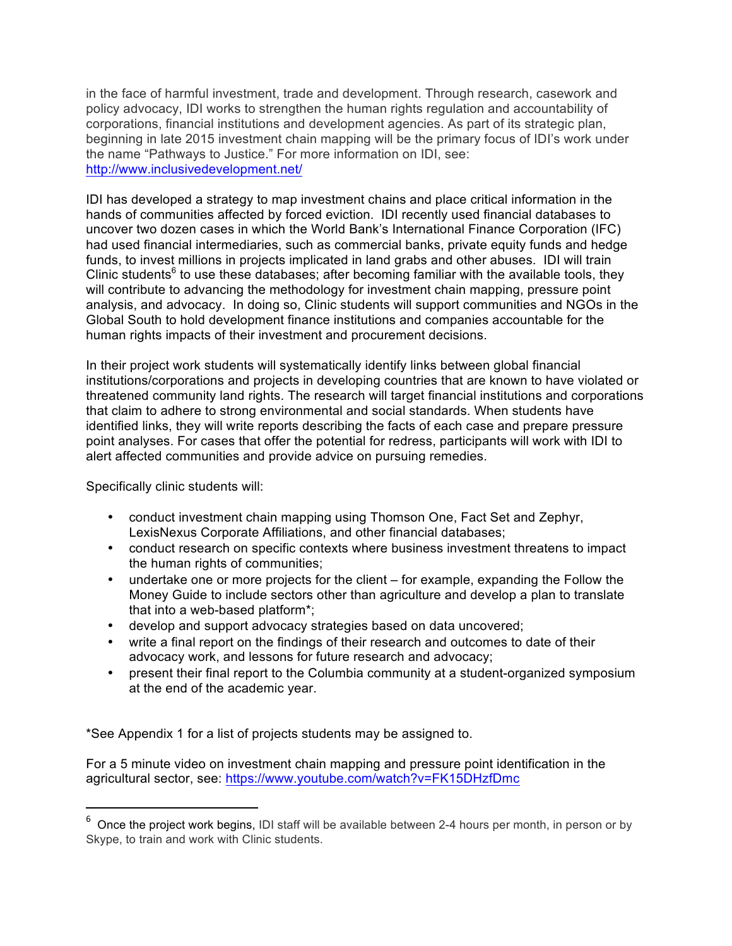in the face of harmful investment, trade and development. Through research, casework and policy advocacy, IDI works to strengthen the human rights regulation and accountability of corporations, financial institutions and development agencies. As part of its strategic plan, beginning in late 2015 investment chain mapping will be the primary focus of IDI's work under the name "Pathways to Justice." For more information on IDI, see: http://www.inclusivedevelopment.net/

IDI has developed a strategy to map investment chains and place critical information in the hands of communities affected by forced eviction. IDI recently used financial databases to uncover two dozen cases in which the World Bank's International Finance Corporation (IFC) had used financial intermediaries, such as commercial banks, private equity funds and hedge funds, to invest millions in projects implicated in land grabs and other abuses. IDI will train Clinic students<sup>6</sup> to use these databases; after becoming familiar with the available tools, they will contribute to advancing the methodology for investment chain mapping, pressure point analysis, and advocacy. In doing so, Clinic students will support communities and NGOs in the Global South to hold development finance institutions and companies accountable for the human rights impacts of their investment and procurement decisions.

In their project work students will systematically identify links between global financial institutions/corporations and projects in developing countries that are known to have violated or threatened community land rights. The research will target financial institutions and corporations that claim to adhere to strong environmental and social standards. When students have identified links, they will write reports describing the facts of each case and prepare pressure point analyses. For cases that offer the potential for redress, participants will work with IDI to alert affected communities and provide advice on pursuing remedies.

Specifically clinic students will:

 

- conduct investment chain mapping using Thomson One, Fact Set and Zephyr, LexisNexus Corporate Affiliations, and other financial databases;
- conduct research on specific contexts where business investment threatens to impact the human rights of communities;
- undertake one or more projects for the client for example, expanding the Follow the Money Guide to include sectors other than agriculture and develop a plan to translate that into a web-based platform\*;
- develop and support advocacy strategies based on data uncovered;
- write a final report on the findings of their research and outcomes to date of their advocacy work, and lessons for future research and advocacy;
- present their final report to the Columbia community at a student-organized symposium at the end of the academic year.

\*See Appendix 1 for a list of projects students may be assigned to.

For a 5 minute video on investment chain mapping and pressure point identification in the agricultural sector, see: https://www.youtube.com/watch?v=FK15DHzfDmc

 $^6$  Once the project work begins, IDI staff will be available between 2-4 hours per month, in person or by Skype, to train and work with Clinic students.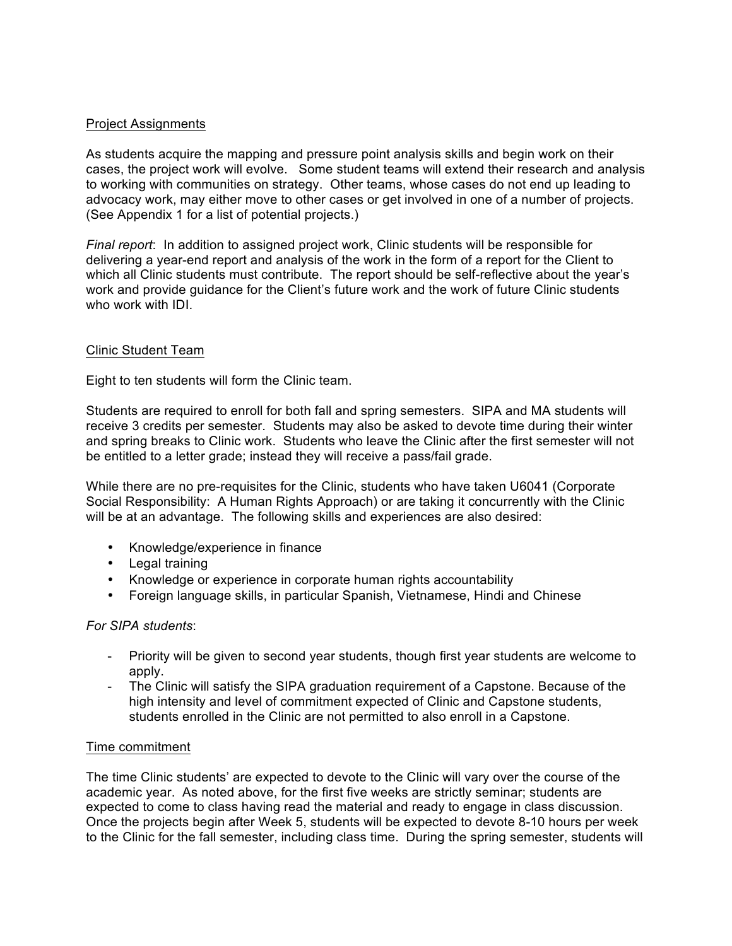## Project Assignments

As students acquire the mapping and pressure point analysis skills and begin work on their cases, the project work will evolve. Some student teams will extend their research and analysis to working with communities on strategy. Other teams, whose cases do not end up leading to advocacy work, may either move to other cases or get involved in one of a number of projects. (See Appendix 1 for a list of potential projects.)

*Final report*: In addition to assigned project work, Clinic students will be responsible for delivering a year-end report and analysis of the work in the form of a report for the Client to which all Clinic students must contribute. The report should be self-reflective about the year's work and provide guidance for the Client's future work and the work of future Clinic students who work with IDI.

#### Clinic Student Team

Eight to ten students will form the Clinic team.

Students are required to enroll for both fall and spring semesters. SIPA and MA students will receive 3 credits per semester. Students may also be asked to devote time during their winter and spring breaks to Clinic work. Students who leave the Clinic after the first semester will not be entitled to a letter grade; instead they will receive a pass/fail grade.

While there are no pre-requisites for the Clinic, students who have taken U6041 (Corporate Social Responsibility: A Human Rights Approach) or are taking it concurrently with the Clinic will be at an advantage. The following skills and experiences are also desired:

- Knowledge/experience in finance
- Legal training
- Knowledge or experience in corporate human rights accountability
- Foreign language skills, in particular Spanish, Vietnamese, Hindi and Chinese

#### *For SIPA students*:

- Priority will be given to second year students, though first year students are welcome to apply.
- The Clinic will satisfy the SIPA graduation requirement of a Capstone. Because of the high intensity and level of commitment expected of Clinic and Capstone students, students enrolled in the Clinic are not permitted to also enroll in a Capstone.

#### Time commitment

The time Clinic students' are expected to devote to the Clinic will vary over the course of the academic year. As noted above, for the first five weeks are strictly seminar; students are expected to come to class having read the material and ready to engage in class discussion. Once the projects begin after Week 5, students will be expected to devote 8-10 hours per week to the Clinic for the fall semester, including class time. During the spring semester, students will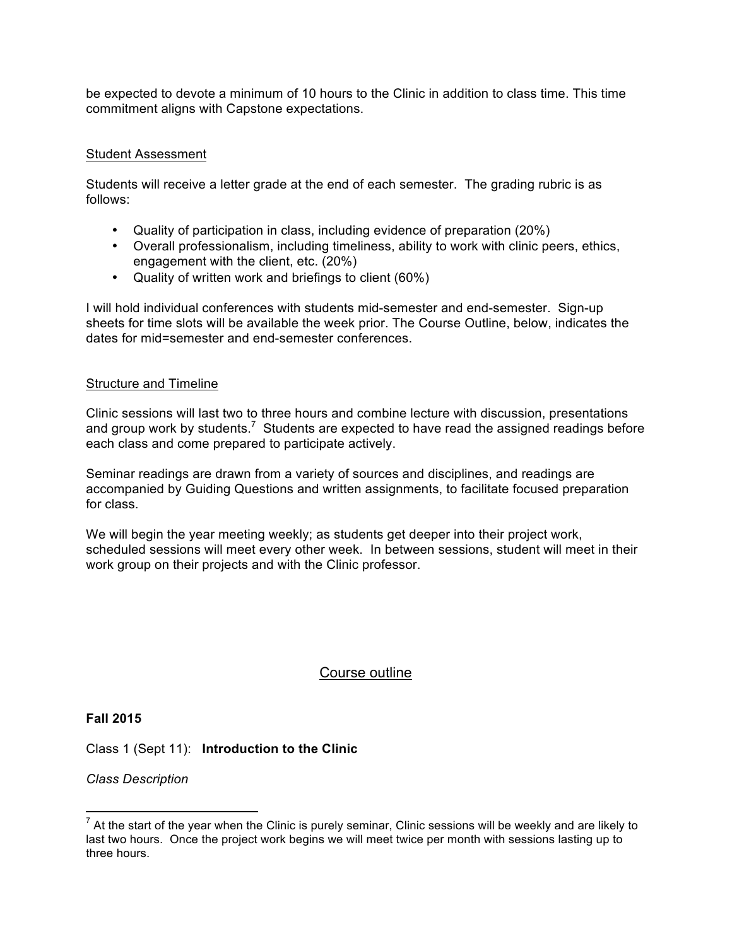be expected to devote a minimum of 10 hours to the Clinic in addition to class time. This time commitment aligns with Capstone expectations.

## Student Assessment

Students will receive a letter grade at the end of each semester. The grading rubric is as follows:

- Quality of participation in class, including evidence of preparation (20%)
- Overall professionalism, including timeliness, ability to work with clinic peers, ethics, engagement with the client, etc. (20%)
- Quality of written work and briefings to client (60%)

I will hold individual conferences with students mid-semester and end-semester. Sign-up sheets for time slots will be available the week prior. The Course Outline, below, indicates the dates for mid=semester and end-semester conferences.

## Structure and Timeline

Clinic sessions will last two to three hours and combine lecture with discussion, presentations and group work by students.<sup>7</sup> Students are expected to have read the assigned readings before each class and come prepared to participate actively.

Seminar readings are drawn from a variety of sources and disciplines, and readings are accompanied by Guiding Questions and written assignments, to facilitate focused preparation for class.

We will begin the year meeting weekly; as students get deeper into their project work, scheduled sessions will meet every other week. In between sessions, student will meet in their work group on their projects and with the Clinic professor.

# Course outline

## **Fall 2015**

Class 1 (Sept 11): **Introduction to the Clinic**

*Class Description*

 $<sup>7</sup>$  At the start of the year when the Clinic is purely seminar, Clinic sessions will be weekly and are likely to</sup> last two hours. Once the project work begins we will meet twice per month with sessions lasting up to three hours.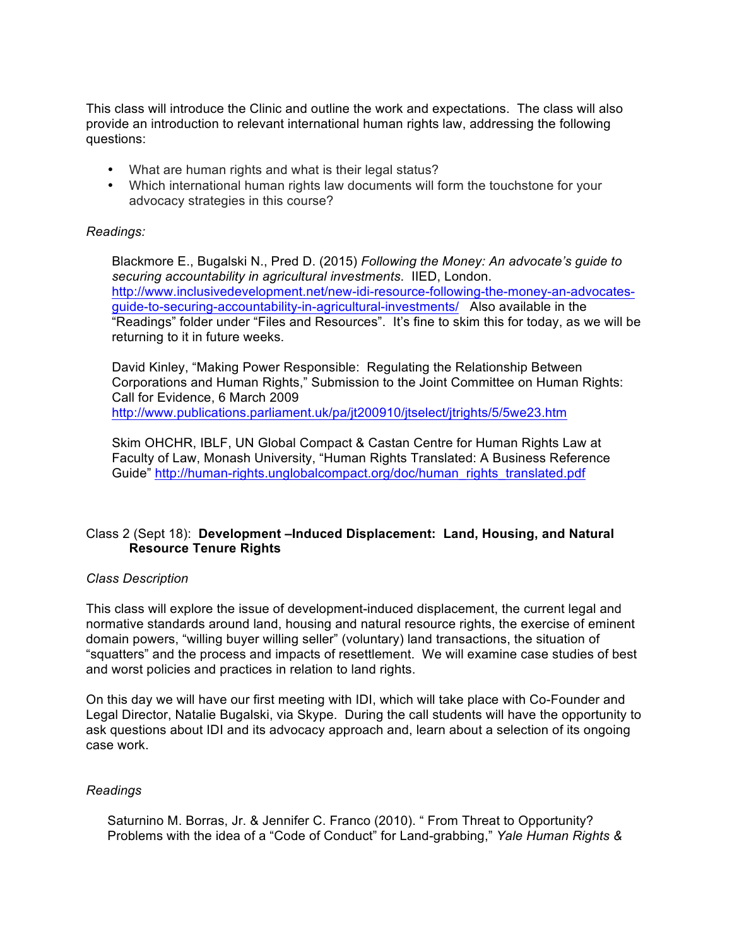This class will introduce the Clinic and outline the work and expectations. The class will also provide an introduction to relevant international human rights law, addressing the following questions:

- What are human rights and what is their legal status?
- Which international human rights law documents will form the touchstone for your advocacy strategies in this course?

#### *Readings:*

Blackmore E., Bugalski N., Pred D. (2015) *Following the Money: An advocate's guide to securing accountability in agricultural investments*. IIED, London. http://www.inclusivedevelopment.net/new-idi-resource-following-the-money-an-advocatesguide-to-securing-accountability-in-agricultural-investments/ Also available in the "Readings" folder under "Files and Resources". It's fine to skim this for today, as we will be returning to it in future weeks.

David Kinley, "Making Power Responsible: Regulating the Relationship Between Corporations and Human Rights," Submission to the Joint Committee on Human Rights: Call for Evidence, 6 March 2009 http://www.publications.parliament.uk/pa/jt200910/jtselect/jtrights/5/5we23.htm

Skim OHCHR, IBLF, UN Global Compact & Castan Centre for Human Rights Law at Faculty of Law, Monash University, "Human Rights Translated: A Business Reference Guide" http://human-rights.unglobalcompact.org/doc/human\_rights\_translated.pdf

## Class 2 (Sept 18): **Development –Induced Displacement: Land, Housing, and Natural Resource Tenure Rights**

#### *Class Description*

This class will explore the issue of development-induced displacement, the current legal and normative standards around land, housing and natural resource rights, the exercise of eminent domain powers, "willing buyer willing seller" (voluntary) land transactions, the situation of "squatters" and the process and impacts of resettlement. We will examine case studies of best and worst policies and practices in relation to land rights.

On this day we will have our first meeting with IDI, which will take place with Co-Founder and Legal Director, Natalie Bugalski, via Skype. During the call students will have the opportunity to ask questions about IDI and its advocacy approach and, learn about a selection of its ongoing case work.

#### *Readings*

Saturnino M. Borras, Jr. & Jennifer C. Franco (2010). " From Threat to Opportunity? Problems with the idea of a "Code of Conduct" for Land-grabbing," *Yale Human Rights &*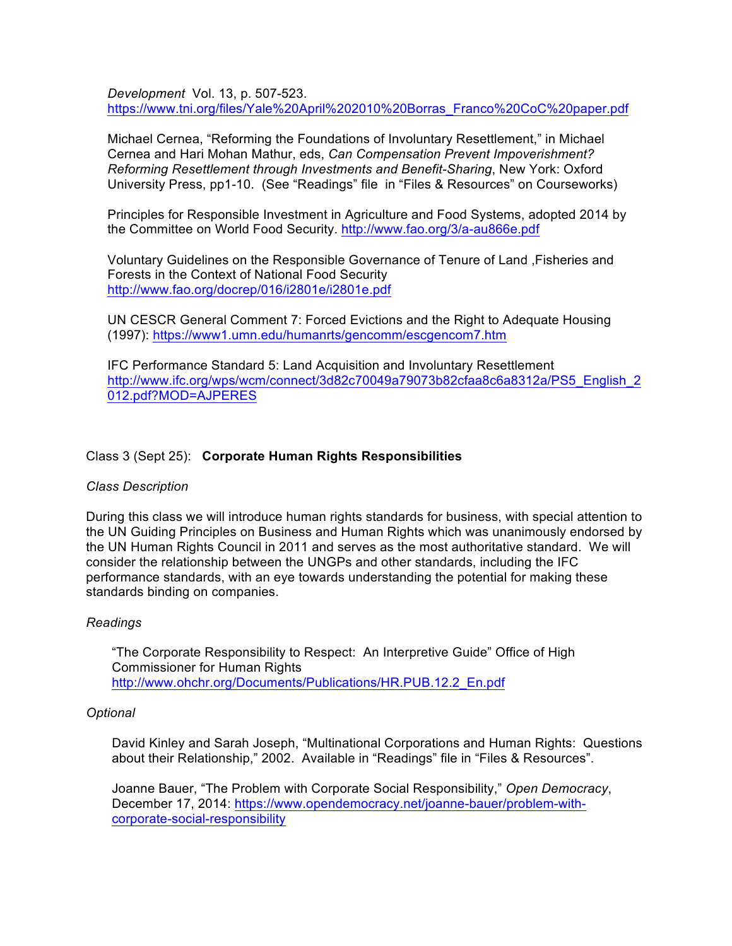*Development* Vol. 13, p. 507-523. https://www.tni.org/files/Yale%20April%202010%20Borras\_Franco%20CoC%20paper.pdf

Michael Cernea, "Reforming the Foundations of Involuntary Resettlement," in Michael Cernea and Hari Mohan Mathur, eds, *Can Compensation Prevent Impoverishment? Reforming Resettlement through Investments and Benefit-Sharing*, New York: Oxford University Press, pp1-10. (See "Readings" file in "Files & Resources" on Courseworks)

Principles for Responsible Investment in Agriculture and Food Systems, adopted 2014 by the Committee on World Food Security. http://www.fao.org/3/a-au866e.pdf

Voluntary Guidelines on the Responsible Governance of Tenure of Land ,Fisheries and Forests in the Context of National Food Security http://www.fao.org/docrep/016/i2801e/i2801e.pdf

UN CESCR General Comment 7: Forced Evictions and the Right to Adequate Housing (1997): https://www1.umn.edu/humanrts/gencomm/escgencom7.htm

IFC Performance Standard 5: Land Acquisition and Involuntary Resettlement http://www.ifc.org/wps/wcm/connect/3d82c70049a79073b82cfaa8c6a8312a/PS5\_English\_2 012.pdf?MOD=AJPERES

## Class 3 (Sept 25): **Corporate Human Rights Responsibilities**

#### *Class Description*

During this class we will introduce human rights standards for business, with special attention to the UN Guiding Principles on Business and Human Rights which was unanimously endorsed by the UN Human Rights Council in 2011 and serves as the most authoritative standard. We will consider the relationship between the UNGPs and other standards, including the IFC performance standards, with an eye towards understanding the potential for making these standards binding on companies.

#### *Readings*

"The Corporate Responsibility to Respect: An Interpretive Guide" Office of High Commissioner for Human Rights http://www.ohchr.org/Documents/Publications/HR.PUB.12.2\_En.pdf

#### *Optional*

David Kinley and Sarah Joseph, "Multinational Corporations and Human Rights: Questions about their Relationship," 2002. Available in "Readings" file in "Files & Resources".

Joanne Bauer, "The Problem with Corporate Social Responsibility," *Open Democracy*, December 17, 2014: https://www.opendemocracy.net/joanne-bauer/problem-withcorporate-social-responsibility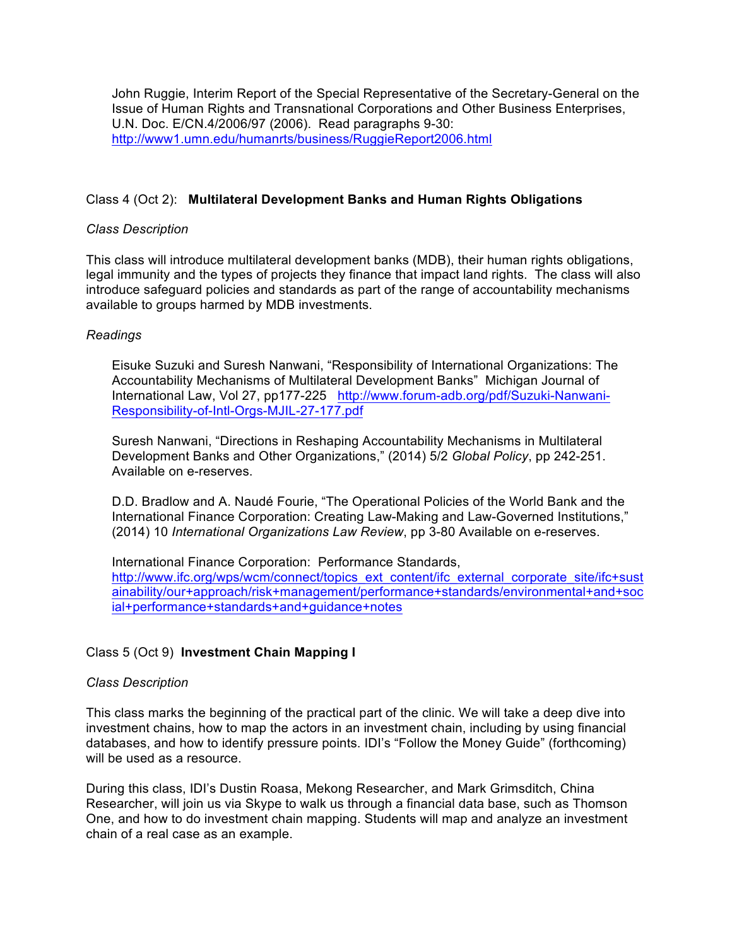John Ruggie, Interim Report of the Special Representative of the Secretary-General on the Issue of Human Rights and Transnational Corporations and Other Business Enterprises, U.N. Doc. E/CN.4/2006/97 (2006). Read paragraphs 9-30: http://www1.umn.edu/humanrts/business/RuggieReport2006.html

## Class 4 (Oct 2): **Multilateral Development Banks and Human Rights Obligations**

### *Class Description*

This class will introduce multilateral development banks (MDB), their human rights obligations, legal immunity and the types of projects they finance that impact land rights. The class will also introduce safeguard policies and standards as part of the range of accountability mechanisms available to groups harmed by MDB investments.

#### *Readings*

Eisuke Suzuki and Suresh Nanwani, "Responsibility of International Organizations: The Accountability Mechanisms of Multilateral Development Banks" Michigan Journal of International Law, Vol 27, pp177-225 http://www.forum-adb.org/pdf/Suzuki-Nanwani-Responsibility-of-Intl-Orgs-MJIL-27-177.pdf

Suresh Nanwani, "Directions in Reshaping Accountability Mechanisms in Multilateral Development Banks and Other Organizations," (2014) 5/2 *Global Policy*, pp 242-251. Available on e-reserves.

D.D. Bradlow and A. Naudé Fourie, "The Operational Policies of the World Bank and the International Finance Corporation: Creating Law-Making and Law-Governed Institutions," (2014) 10 *International Organizations Law Review*, pp 3-80 Available on e-reserves.

International Finance Corporation: Performance Standards, http://www.ifc.org/wps/wcm/connect/topics\_ext\_content/ifc\_external\_corporate\_site/ifc+sust ainability/our+approach/risk+management/performance+standards/environmental+and+soc ial+performance+standards+and+guidance+notes

#### Class 5 (Oct 9) **Investment Chain Mapping I**

#### *Class Description*

This class marks the beginning of the practical part of the clinic. We will take a deep dive into investment chains, how to map the actors in an investment chain, including by using financial databases, and how to identify pressure points. IDI's "Follow the Money Guide" (forthcoming) will be used as a resource.

During this class, IDI's Dustin Roasa, Mekong Researcher, and Mark Grimsditch, China Researcher, will join us via Skype to walk us through a financial data base, such as Thomson One, and how to do investment chain mapping. Students will map and analyze an investment chain of a real case as an example.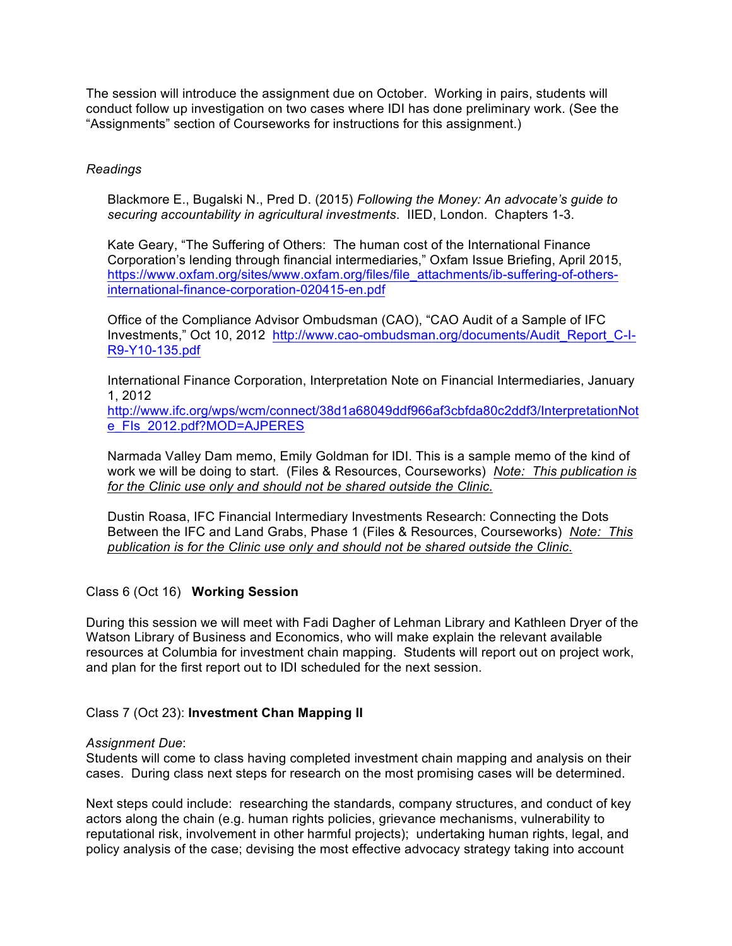The session will introduce the assignment due on October. Working in pairs, students will conduct follow up investigation on two cases where IDI has done preliminary work. (See the "Assignments" section of Courseworks for instructions for this assignment.)

### *Readings*

Blackmore E., Bugalski N., Pred D. (2015) *Following the Money: An advocate's guide to securing accountability in agricultural investments*. IIED, London. Chapters 1-3.

Kate Geary, "The Suffering of Others: The human cost of the International Finance Corporation's lending through financial intermediaries," Oxfam Issue Briefing, April 2015, https://www.oxfam.org/sites/www.oxfam.org/files/file\_attachments/ib-suffering-of-othersinternational-finance-corporation-020415-en.pdf

Office of the Compliance Advisor Ombudsman (CAO), "CAO Audit of a Sample of IFC Investments," Oct 10, 2012 http://www.cao-ombudsman.org/documents/Audit\_Report\_C-I-R9-Y10-135.pdf

International Finance Corporation, Interpretation Note on Financial Intermediaries, January 1, 2012

http://www.ifc.org/wps/wcm/connect/38d1a68049ddf966af3cbfda80c2ddf3/InterpretationNot e\_FIs\_2012.pdf?MOD=AJPERES

Narmada Valley Dam memo, Emily Goldman for IDI. This is a sample memo of the kind of work we will be doing to start. (Files & Resources, Courseworks) *Note: This publication is for the Clinic use only and should not be shared outside the Clinic*.

Dustin Roasa, IFC Financial Intermediary Investments Research: Connecting the Dots Between the IFC and Land Grabs, Phase 1 (Files & Resources, Courseworks) *Note: This publication is for the Clinic use only and should not be shared outside the Clinic*.

## Class 6 (Oct 16) **Working Session**

During this session we will meet with Fadi Dagher of Lehman Library and Kathleen Dryer of the Watson Library of Business and Economics, who will make explain the relevant available resources at Columbia for investment chain mapping. Students will report out on project work, and plan for the first report out to IDI scheduled for the next session.

#### Class 7 (Oct 23): **Investment Chan Mapping II**

#### *Assignment Due*:

Students will come to class having completed investment chain mapping and analysis on their cases. During class next steps for research on the most promising cases will be determined.

Next steps could include: researching the standards, company structures, and conduct of key actors along the chain (e.g. human rights policies, grievance mechanisms, vulnerability to reputational risk, involvement in other harmful projects); undertaking human rights, legal, and policy analysis of the case; devising the most effective advocacy strategy taking into account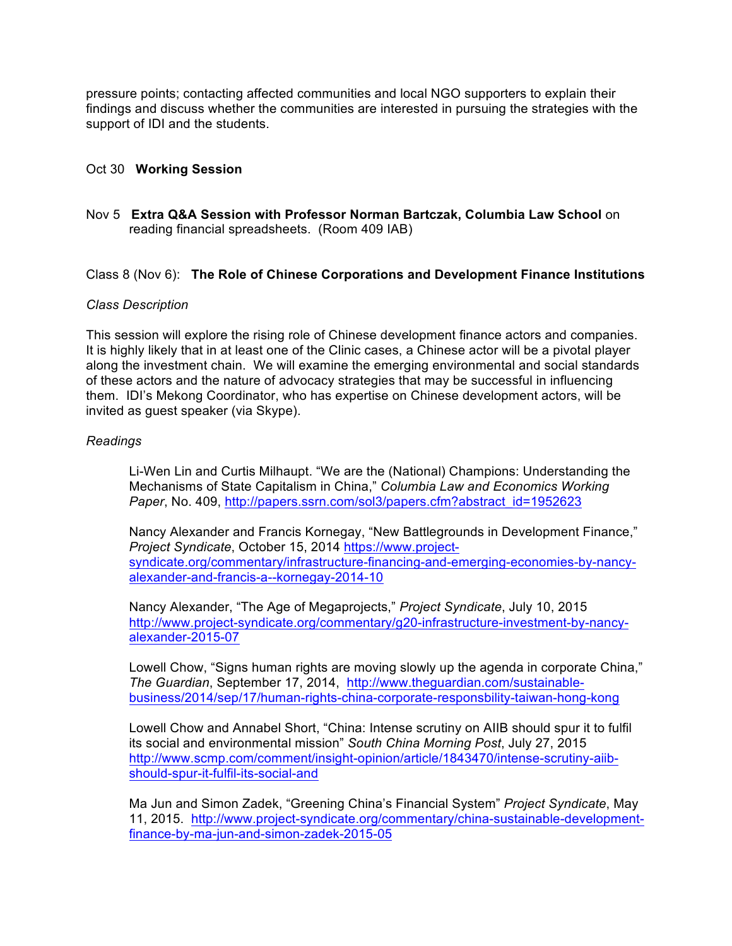pressure points; contacting affected communities and local NGO supporters to explain their findings and discuss whether the communities are interested in pursuing the strategies with the support of IDI and the students.

### Oct 30 **Working Session**

## Nov 5 **Extra Q&A Session with Professor Norman Bartczak, Columbia Law School** on reading financial spreadsheets. (Room 409 IAB)

#### Class 8 (Nov 6): **The Role of Chinese Corporations and Development Finance Institutions**

#### *Class Description*

This session will explore the rising role of Chinese development finance actors and companies. It is highly likely that in at least one of the Clinic cases, a Chinese actor will be a pivotal player along the investment chain. We will examine the emerging environmental and social standards of these actors and the nature of advocacy strategies that may be successful in influencing them. IDI's Mekong Coordinator, who has expertise on Chinese development actors, will be invited as guest speaker (via Skype).

#### *Readings*

Li-Wen Lin and Curtis Milhaupt. "We are the (National) Champions: Understanding the Mechanisms of State Capitalism in China," *Columbia Law and Economics Working Paper*, No. 409, http://papers.ssrn.com/sol3/papers.cfm?abstract\_id=1952623

Nancy Alexander and Francis Kornegay, "New Battlegrounds in Development Finance," *Project Syndicate*, October 15, 2014 https://www.projectsyndicate.org/commentary/infrastructure-financing-and-emerging-economies-by-nancyalexander-and-francis-a--kornegay-2014-10

Nancy Alexander, "The Age of Megaprojects," *Project Syndicate*, July 10, 2015 http://www.project-syndicate.org/commentary/g20-infrastructure-investment-by-nancyalexander-2015-07

Lowell Chow, "Signs human rights are moving slowly up the agenda in corporate China," *The Guardian*, September 17, 2014, http://www.theguardian.com/sustainablebusiness/2014/sep/17/human-rights-china-corporate-responsbility-taiwan-hong-kong

Lowell Chow and Annabel Short, "China: Intense scrutiny on AIIB should spur it to fulfil its social and environmental mission" *South China Morning Post*, July 27, 2015 http://www.scmp.com/comment/insight-opinion/article/1843470/intense-scrutiny-aiibshould-spur-it-fulfil-its-social-and

Ma Jun and Simon Zadek, "Greening China's Financial System" *Project Syndicate*, May 11, 2015. http://www.project-syndicate.org/commentary/china-sustainable-developmentfinance-by-ma-jun-and-simon-zadek-2015-05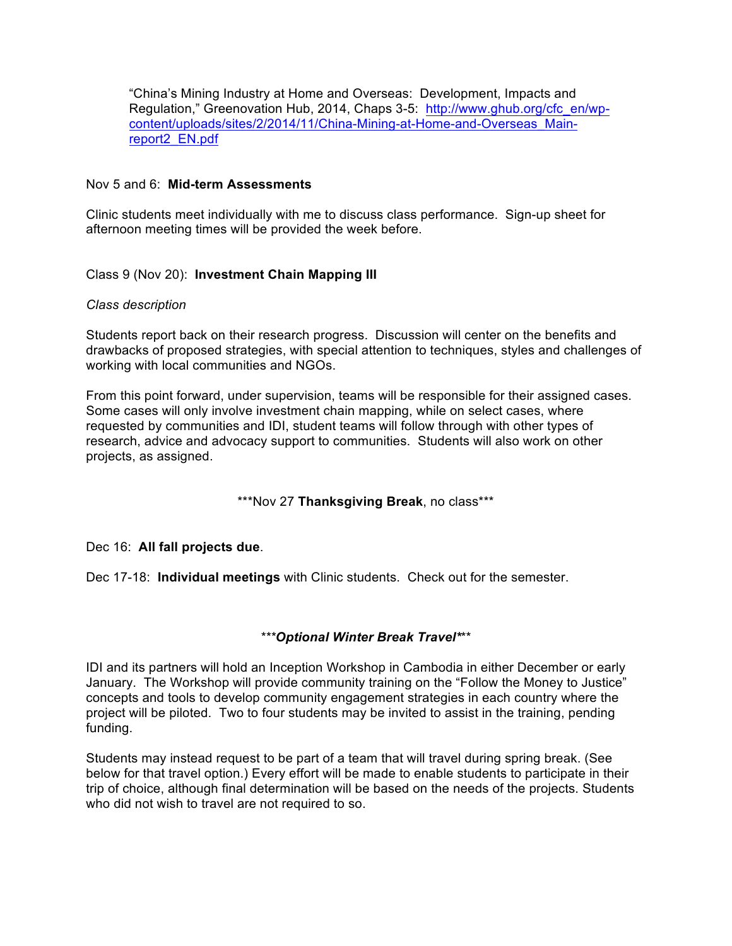"China's Mining Industry at Home and Overseas: Development, Impacts and Regulation," Greenovation Hub, 2014, Chaps 3-5: http://www.ghub.org/cfc\_en/wpcontent/uploads/sites/2/2014/11/China-Mining-at-Home-and-Overseas\_Mainreport2\_EN.pdf

### Nov 5 and 6: **Mid-term Assessments**

Clinic students meet individually with me to discuss class performance. Sign-up sheet for afternoon meeting times will be provided the week before.

## Class 9 (Nov 20): **Investment Chain Mapping III**

#### *Class description*

Students report back on their research progress. Discussion will center on the benefits and drawbacks of proposed strategies, with special attention to techniques, styles and challenges of working with local communities and NGOs.

From this point forward, under supervision, teams will be responsible for their assigned cases. Some cases will only involve investment chain mapping, while on select cases, where requested by communities and IDI, student teams will follow through with other types of research, advice and advocacy support to communities. Students will also work on other projects, as assigned.

## \*\*\*Nov 27 **Thanksgiving Break**, no class\*\*\*

Dec 16: **All fall projects due**.

Dec 17-18: **Individual meetings** with Clinic students. Check out for the semester.

## *\*\*\*Optional Winter Break Travel\**\*\*

IDI and its partners will hold an Inception Workshop in Cambodia in either December or early January. The Workshop will provide community training on the "Follow the Money to Justice" concepts and tools to develop community engagement strategies in each country where the project will be piloted. Two to four students may be invited to assist in the training, pending funding.

Students may instead request to be part of a team that will travel during spring break. (See below for that travel option.) Every effort will be made to enable students to participate in their trip of choice, although final determination will be based on the needs of the projects. Students who did not wish to travel are not required to so.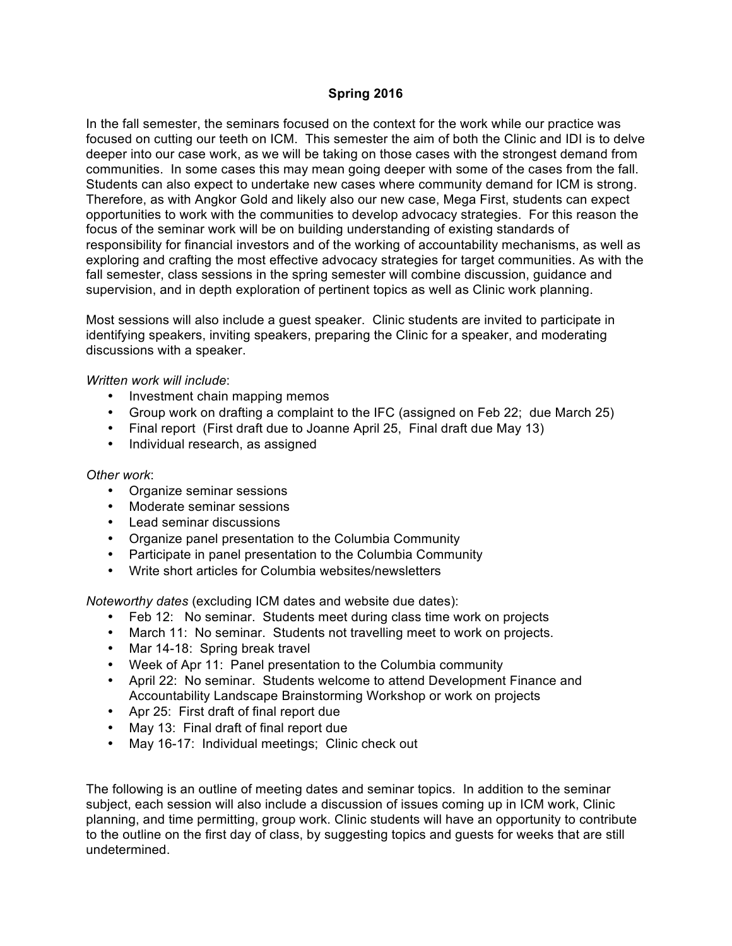## **Spring 2016**

In the fall semester, the seminars focused on the context for the work while our practice was focused on cutting our teeth on ICM. This semester the aim of both the Clinic and IDI is to delve deeper into our case work, as we will be taking on those cases with the strongest demand from communities. In some cases this may mean going deeper with some of the cases from the fall. Students can also expect to undertake new cases where community demand for ICM is strong. Therefore, as with Angkor Gold and likely also our new case, Mega First, students can expect opportunities to work with the communities to develop advocacy strategies. For this reason the focus of the seminar work will be on building understanding of existing standards of responsibility for financial investors and of the working of accountability mechanisms, as well as exploring and crafting the most effective advocacy strategies for target communities. As with the fall semester, class sessions in the spring semester will combine discussion, guidance and supervision, and in depth exploration of pertinent topics as well as Clinic work planning.

Most sessions will also include a guest speaker. Clinic students are invited to participate in identifying speakers, inviting speakers, preparing the Clinic for a speaker, and moderating discussions with a speaker.

#### *Written work will include*:

- Investment chain mapping memos
- Group work on drafting a complaint to the IFC (assigned on Feb 22; due March 25)
- Final report (First draft due to Joanne April 25, Final draft due May 13)
- Individual research, as assigned

#### *Other work*:

- Organize seminar sessions
- Moderate seminar sessions
- Lead seminar discussions
- Organize panel presentation to the Columbia Community
- Participate in panel presentation to the Columbia Community
- Write short articles for Columbia websites/newsletters

*Noteworthy dates* (excluding ICM dates and website due dates):

- Feb 12: No seminar. Students meet during class time work on projects
- March 11: No seminar. Students not travelling meet to work on projects.
- Mar 14-18: Spring break travel
- Week of Apr 11: Panel presentation to the Columbia community
- April 22: No seminar. Students welcome to attend Development Finance and Accountability Landscape Brainstorming Workshop or work on projects
- Apr 25: First draft of final report due
- May 13: Final draft of final report due
- May 16-17: Individual meetings; Clinic check out

The following is an outline of meeting dates and seminar topics. In addition to the seminar subject, each session will also include a discussion of issues coming up in ICM work, Clinic planning, and time permitting, group work. Clinic students will have an opportunity to contribute to the outline on the first day of class, by suggesting topics and guests for weeks that are still undetermined.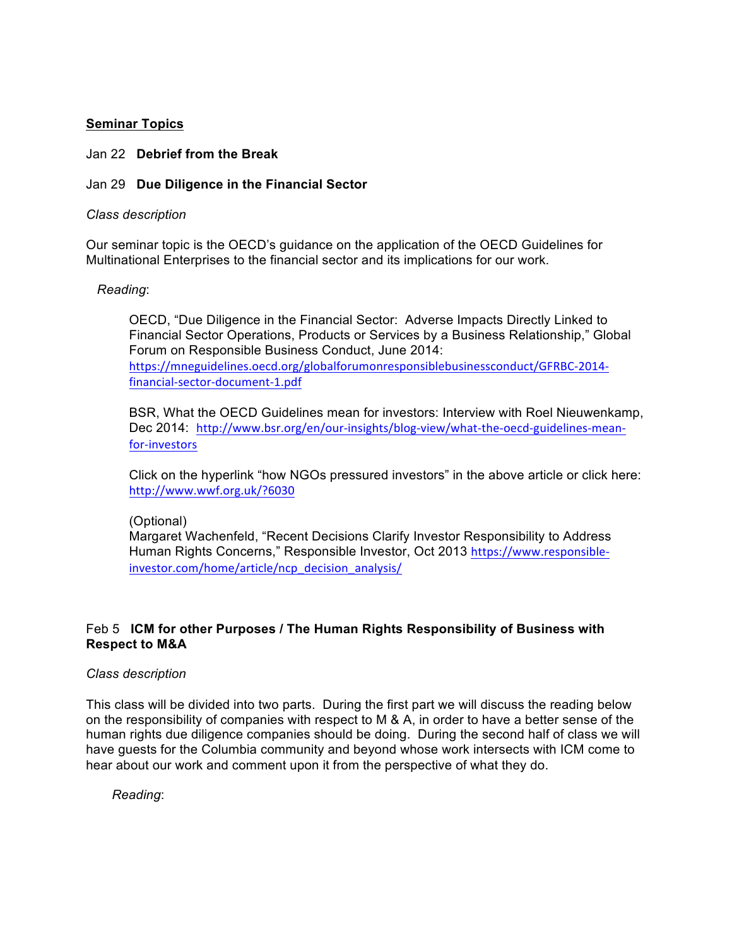## **Seminar Topics**

### Jan 22 **Debrief from the Break**

## Jan 29 **Due Diligence in the Financial Sector**

### *Class description*

Our seminar topic is the OECD's guidance on the application of the OECD Guidelines for Multinational Enterprises to the financial sector and its implications for our work.

## *Reading*:

OECD, "Due Diligence in the Financial Sector: Adverse Impacts Directly Linked to Financial Sector Operations, Products or Services by a Business Relationship," Global Forum on Responsible Business Conduct, June 2014: https://mneguidelines.oecd.org/globalforumonresponsiblebusinessconduct/GFRBC-2014 financial-sector-document-1.pdf

BSR, What the OECD Guidelines mean for investors: Interview with Roel Nieuwenkamp, Dec 2014: http://www.bsr.org/en/our-insights/blog-view/what-the-oecd-guidelines-meanfor-investors

Click on the hyperlink "how NGOs pressured investors" in the above article or click here: http://www.wwf.org.uk/?6030

#### (Optional)

Margaret Wachenfeld, "Recent Decisions Clarify Investor Responsibility to Address Human Rights Concerns," Responsible Investor, Oct 2013 https://www.responsibleinvestor.com/home/article/ncp\_decision\_analysis/

## Feb 5 **ICM for other Purposes / The Human Rights Responsibility of Business with Respect to M&A**

#### *Class description*

This class will be divided into two parts. During the first part we will discuss the reading below on the responsibility of companies with respect to M & A, in order to have a better sense of the human rights due diligence companies should be doing. During the second half of class we will have guests for the Columbia community and beyond whose work intersects with ICM come to hear about our work and comment upon it from the perspective of what they do.

*Reading*: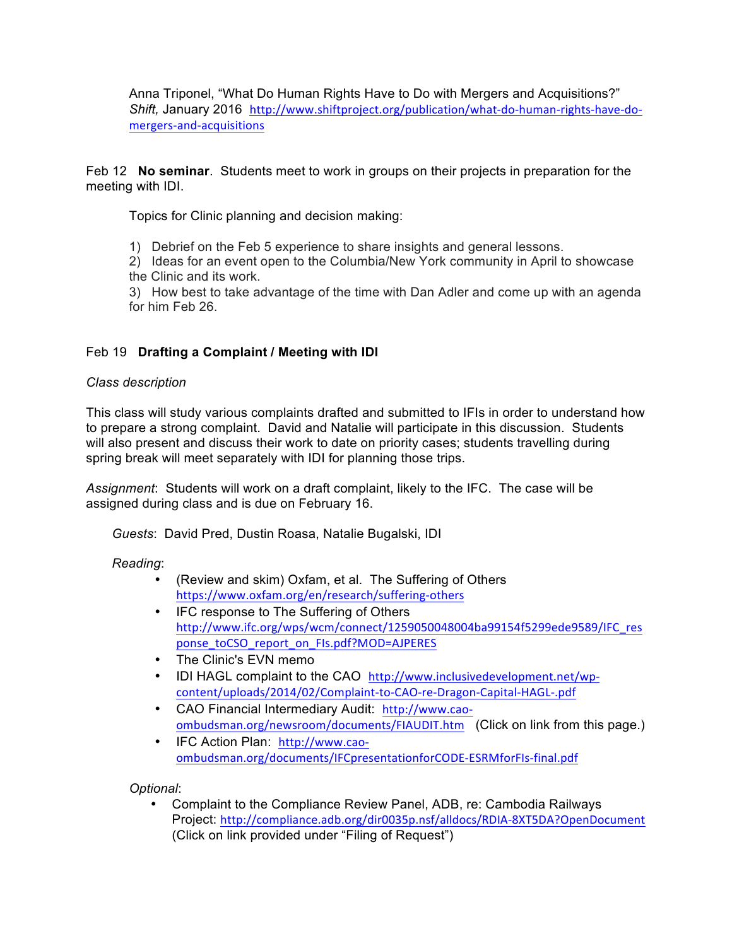Anna Triponel, "What Do Human Rights Have to Do with Mergers and Acquisitions?" *Shift,* January 2016 http://www.shiftproject.org/publication/what-do-human-rights-have-domergers-and-acquisitions

Feb 12 **No seminar**. Students meet to work in groups on their projects in preparation for the meeting with IDI.

Topics for Clinic planning and decision making:

1) Debrief on the Feb 5 experience to share insights and general lessons.

2) Ideas for an event open to the Columbia/New York community in April to showcase the Clinic and its work.

3) How best to take advantage of the time with Dan Adler and come up with an agenda for him Feb 26.

# Feb 19 **Drafting a Complaint / Meeting with IDI**

## *Class description*

This class will study various complaints drafted and submitted to IFIs in order to understand how to prepare a strong complaint. David and Natalie will participate in this discussion. Students will also present and discuss their work to date on priority cases; students travelling during spring break will meet separately with IDI for planning those trips.

*Assignment*: Students will work on a draft complaint, likely to the IFC. The case will be assigned during class and is due on February 16.

*Guests*: David Pred, Dustin Roasa, Natalie Bugalski, IDI

*Reading*:

- (Review and skim) Oxfam, et al. The Suffering of Others https://www.oxfam.org/en/research/suffering-others
- IFC response to The Suffering of Others http://www.ifc.org/wps/wcm/connect/1259050048004ba99154f5299ede9589/IFC\_res ponse\_toCSO\_report\_on\_FIs.pdf?MOD=AJPERES
- The Clinic's EVN memo
- IDI HAGL complaint to the CAO http://www.inclusivedevelopment.net/wpcontent/uploads/2014/02/Complaint-to-CAO-re-Dragon-Capital-HAGL-.pdf
- CAO Financial Intermediary Audit: http://www.caoombudsman.org/newsroom/documents/FIAUDIT.htm (Click on link from this page.)
- IFC Action Plan: http://www.caoombudsman.org/documents/IFCpresentationforCODE-ESRMforFIs-final.pdf

*Optional*:

• Complaint to the Compliance Review Panel, ADB, re: Cambodia Railways Project: http://compliance.adb.org/dir0035p.nsf/alldocs/RDIA-8XT5DA?OpenDocument (Click on link provided under "Filing of Request")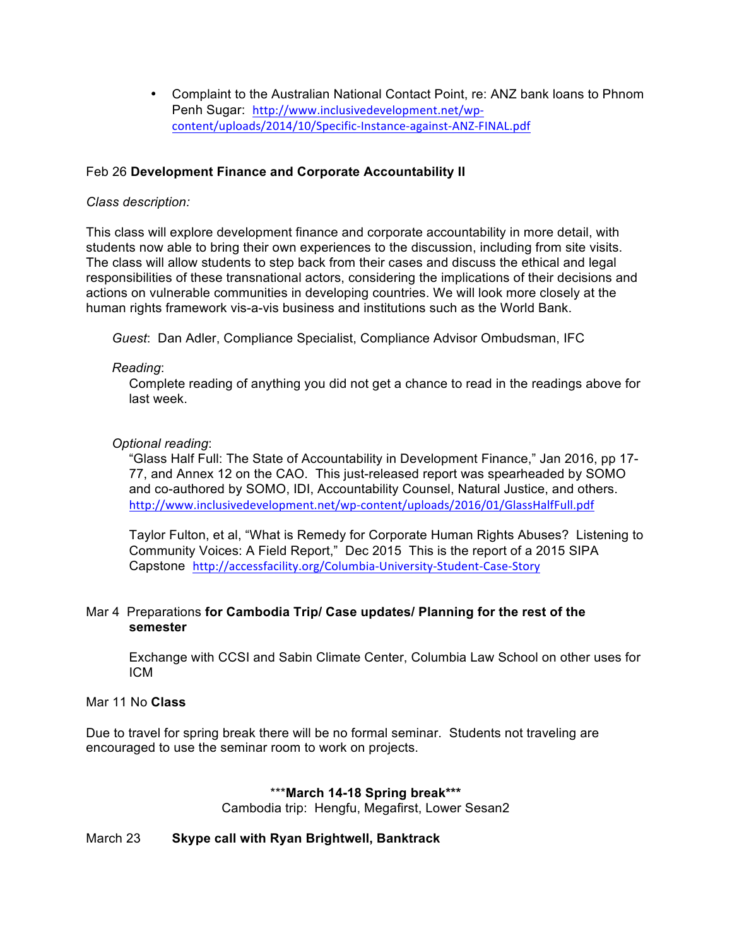• Complaint to the Australian National Contact Point, re: ANZ bank loans to Phnom Penh Sugar: http://www.inclusivedevelopment.net/wpcontent/uploads/2014/10/Specific-Instance-against-ANZ-FINAL.pdf

## Feb 26 **Development Finance and Corporate Accountability II**

## *Class description:*

This class will explore development finance and corporate accountability in more detail, with students now able to bring their own experiences to the discussion, including from site visits. The class will allow students to step back from their cases and discuss the ethical and legal responsibilities of these transnational actors, considering the implications of their decisions and actions on vulnerable communities in developing countries. We will look more closely at the human rights framework vis-a-vis business and institutions such as the World Bank.

*Guest*: Dan Adler, Compliance Specialist, Compliance Advisor Ombudsman, IFC

## *Reading*:

Complete reading of anything you did not get a chance to read in the readings above for last week.

## *Optional reading*:

"Glass Half Full: The State of Accountability in Development Finance," Jan 2016, pp 17- 77, and Annex 12 on the CAO. This just-released report was spearheaded by SOMO and co-authored by SOMO, IDI, Accountability Counsel, Natural Justice, and others. http://www.inclusivedevelopment.net/wp-content/uploads/2016/01/GlassHalfFull.pdf

Taylor Fulton, et al, "What is Remedy for Corporate Human Rights Abuses? Listening to Community Voices: A Field Report," Dec 2015 This is the report of a 2015 SIPA Capstone http://accessfacility.org/Columbia-University-Student-Case-Story

## Mar 4 Preparations **for Cambodia Trip/ Case updates/ Planning for the rest of the semester**

Exchange with CCSI and Sabin Climate Center, Columbia Law School on other uses for ICM

## Mar 11 No **Class**

Due to travel for spring break there will be no formal seminar. Students not traveling are encouraged to use the seminar room to work on projects.

## \*\*\***March 14-18 Spring break\*\*\***

Cambodia trip: Hengfu, Megafirst, Lower Sesan2

## March 23 **Skype call with Ryan Brightwell, Banktrack**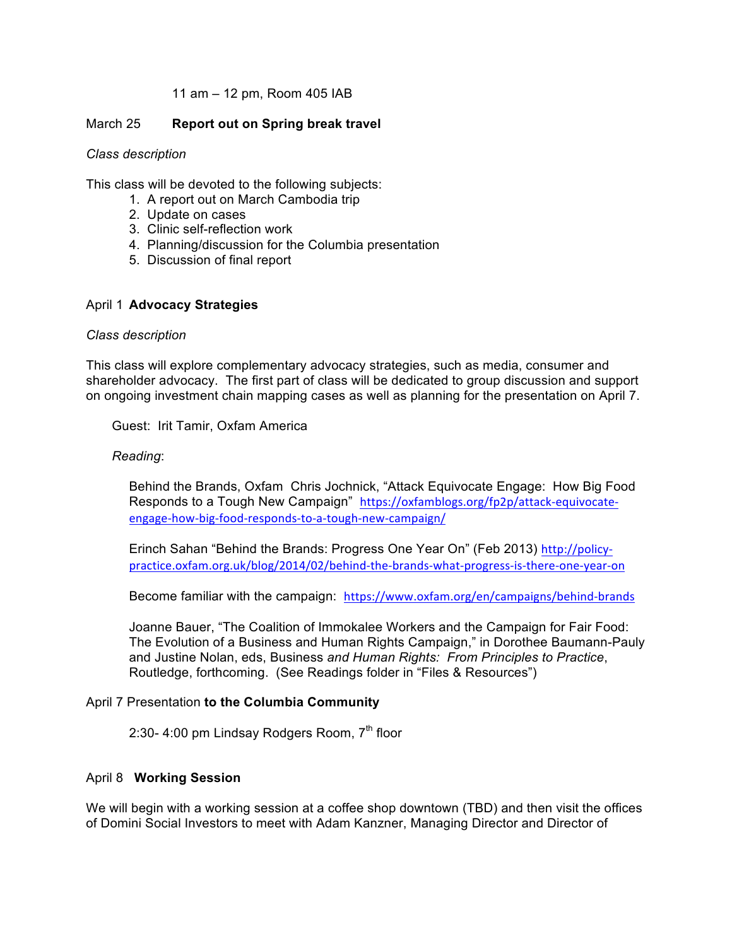## 11 am – 12 pm, Room 405 IAB

### March 25 **Report out on Spring break travel**

#### *Class description*

This class will be devoted to the following subjects:

- 1. A report out on March Cambodia trip
- 2. Update on cases
- 3. Clinic self-reflection work
- 4. Planning/discussion for the Columbia presentation
- 5. Discussion of final report

#### April 1 **Advocacy Strategies**

#### *Class description*

This class will explore complementary advocacy strategies, such as media, consumer and shareholder advocacy. The first part of class will be dedicated to group discussion and support on ongoing investment chain mapping cases as well as planning for the presentation on April 7.

Guest: Irit Tamir, Oxfam America

#### *Reading*:

Behind the Brands, Oxfam Chris Jochnick, "Attack Equivocate Engage: How Big Food Responds to a Tough New Campaign" https://oxfamblogs.org/fp2p/attack-equivocateengage-how-big-food-responds-to-a-tough-new-campaign/

Erinch Sahan "Behind the Brands: Progress One Year On" (Feb 2013) http://policypractice.oxfam.org.uk/blog/2014/02/behind-the-brands-what-progress-is-there-one-year-on

Become familiar with the campaign: https://www.oxfam.org/en/campaigns/behind-brands

Joanne Bauer, "The Coalition of Immokalee Workers and the Campaign for Fair Food: The Evolution of a Business and Human Rights Campaign," in Dorothee Baumann-Pauly and Justine Nolan, eds, Business *and Human Rights: From Principles to Practice*, Routledge, forthcoming. (See Readings folder in "Files & Resources")

#### April 7 Presentation **to the Columbia Community**

2:30- 4:00 pm Lindsay Rodgers Room, 7<sup>th</sup> floor

#### April 8 **Working Session**

We will begin with a working session at a coffee shop downtown (TBD) and then visit the offices of Domini Social Investors to meet with Adam Kanzner, Managing Director and Director of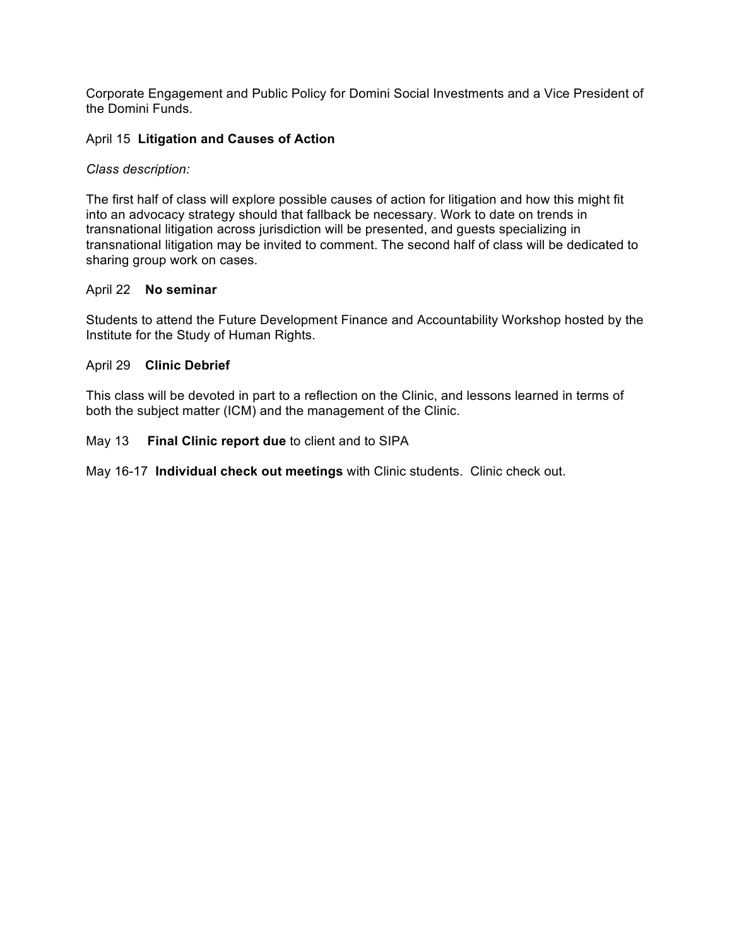Corporate Engagement and Public Policy for Domini Social Investments and a Vice President of the Domini Funds.

## April 15 **Litigation and Causes of Action**

## *Class description:*

The first half of class will explore possible causes of action for litigation and how this might fit into an advocacy strategy should that fallback be necessary. Work to date on trends in transnational litigation across jurisdiction will be presented, and guests specializing in transnational litigation may be invited to comment. The second half of class will be dedicated to sharing group work on cases.

## April 22 **No seminar**

Students to attend the Future Development Finance and Accountability Workshop hosted by the Institute for the Study of Human Rights.

## April 29 **Clinic Debrief**

This class will be devoted in part to a reflection on the Clinic, and lessons learned in terms of both the subject matter (ICM) and the management of the Clinic.

## May 13 **Final Clinic report due** to client and to SIPA

May 16-17 **Individual check out meetings** with Clinic students. Clinic check out.